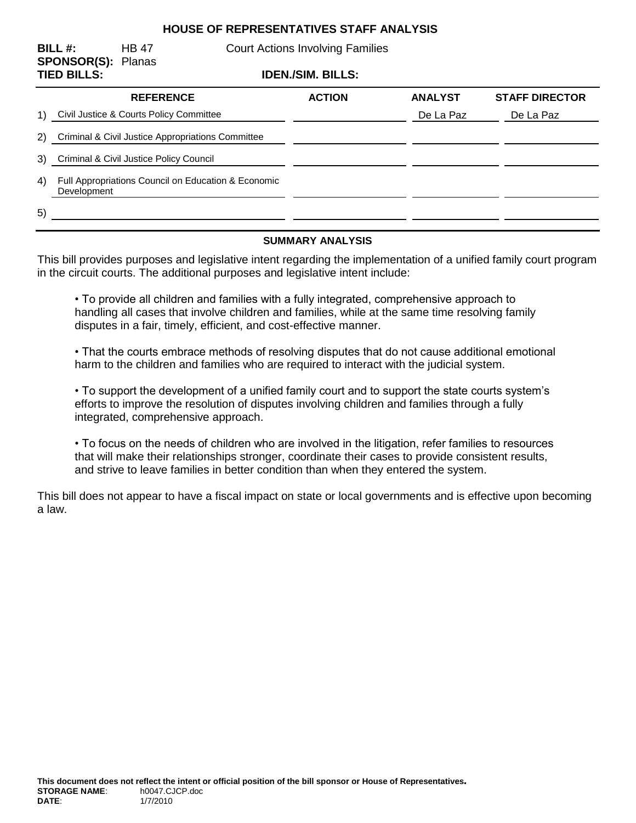## **HOUSE OF REPRESENTATIVES STAFF ANALYSIS**

**SPONSOR(S):** Planas

**BILL #:** HB 47 Court Actions Involving Families

**TIED BILLS: IDEN./SIM. BILLS:**

| TIED DILLO.                                    |                                                                    | IVENJOIM. DILLO. |                |                       |
|------------------------------------------------|--------------------------------------------------------------------|------------------|----------------|-----------------------|
|                                                | <b>REFERENCE</b>                                                   | <b>ACTION</b>    | <b>ANALYST</b> | <b>STAFF DIRECTOR</b> |
| $\left( \begin{matrix} 1 \end{matrix} \right)$ | Civil Justice & Courts Policy Committee                            |                  | De La Paz      | De La Paz             |
| (2)                                            | Criminal & Civil Justice Appropriations Committee                  |                  |                |                       |
| 3)                                             | Criminal & Civil Justice Policy Council                            |                  |                |                       |
| 4)                                             | Full Appropriations Council on Education & Economic<br>Development |                  |                |                       |
| 5)                                             |                                                                    |                  |                |                       |

#### **SUMMARY ANALYSIS**

This bill provides purposes and legislative intent regarding the implementation of a unified family court program in the circuit courts. The additional purposes and legislative intent include:

• To provide all children and families with a fully integrated, comprehensive approach to handling all cases that involve children and families, while at the same time resolving family disputes in a fair, timely, efficient, and cost-effective manner.

• That the courts embrace methods of resolving disputes that do not cause additional emotional harm to the children and families who are required to interact with the judicial system.

• To support the development of a unified family court and to support the state courts system's efforts to improve the resolution of disputes involving children and families through a fully integrated, comprehensive approach.

• To focus on the needs of children who are involved in the litigation, refer families to resources that will make their relationships stronger, coordinate their cases to provide consistent results, and strive to leave families in better condition than when they entered the system.

This bill does not appear to have a fiscal impact on state or local governments and is effective upon becoming a law.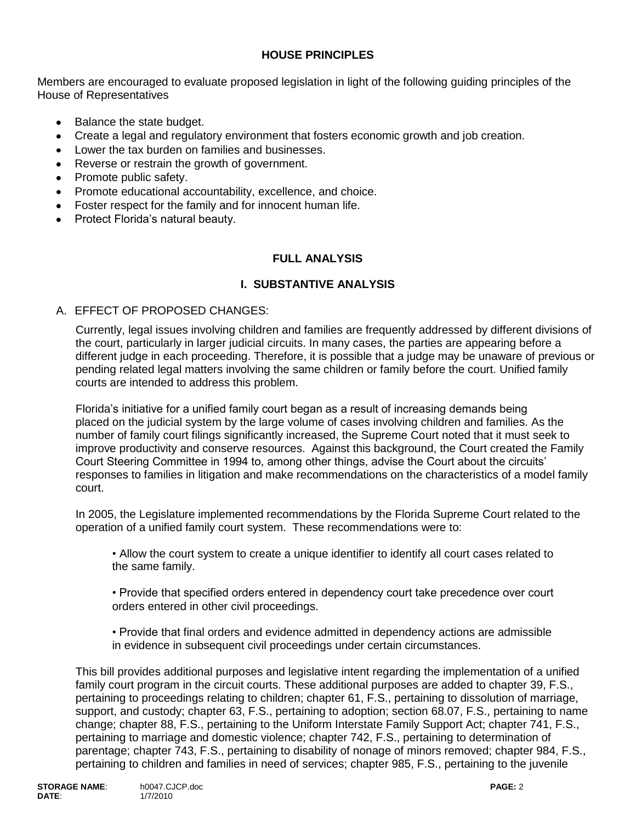## **HOUSE PRINCIPLES**

Members are encouraged to evaluate proposed legislation in light of the following guiding principles of the House of Representatives

- Balance the state budget.
- Create a legal and regulatory environment that fosters economic growth and job creation.  $\bullet$
- Lower the tax burden on families and businesses.
- Reverse or restrain the growth of government.
- Promote public safety.
- Promote educational accountability, excellence, and choice.
- Foster respect for the family and for innocent human life.
- Protect Florida's natural beauty.

### **FULL ANALYSIS**

### **I. SUBSTANTIVE ANALYSIS**

#### A. EFFECT OF PROPOSED CHANGES:

Currently, legal issues involving children and families are frequently addressed by different divisions of the court, particularly in larger judicial circuits. In many cases, the parties are appearing before a different judge in each proceeding. Therefore, it is possible that a judge may be unaware of previous or pending related legal matters involving the same children or family before the court. Unified family courts are intended to address this problem.

Florida's initiative for a unified family court began as a result of increasing demands being placed on the judicial system by the large volume of cases involving children and families. As the number of family court filings significantly increased, the Supreme Court noted that it must seek to improve productivity and conserve resources. Against this background, the Court created the Family Court Steering Committee in 1994 to, among other things, advise the Court about the circuits' responses to families in litigation and make recommendations on the characteristics of a model family court.

In 2005, the Legislature implemented recommendations by the Florida Supreme Court related to the operation of a unified family court system. These recommendations were to:

• Allow the court system to create a unique identifier to identify all court cases related to the same family.

• Provide that specified orders entered in dependency court take precedence over court orders entered in other civil proceedings.

• Provide that final orders and evidence admitted in dependency actions are admissible in evidence in subsequent civil proceedings under certain circumstances.

This bill provides additional purposes and legislative intent regarding the implementation of a unified family court program in the circuit courts. These additional purposes are added to chapter 39, F.S., pertaining to proceedings relating to children; chapter 61, F.S., pertaining to dissolution of marriage, support, and custody; chapter 63, F.S., pertaining to adoption; section 68.07, F.S., pertaining to name change; chapter 88, F.S., pertaining to the Uniform Interstate Family Support Act; chapter 741, F.S., pertaining to marriage and domestic violence; chapter 742, F.S., pertaining to determination of parentage; chapter 743, F.S., pertaining to disability of nonage of minors removed; chapter 984, F.S., pertaining to children and families in need of services; chapter 985, F.S., pertaining to the juvenile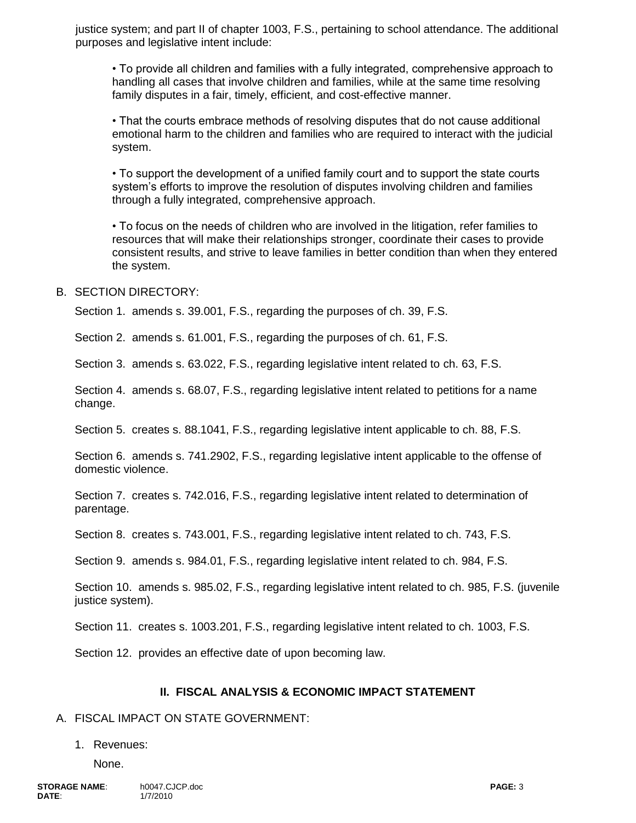justice system; and part II of chapter 1003, F.S., pertaining to school attendance. The additional purposes and legislative intent include:

• To provide all children and families with a fully integrated, comprehensive approach to handling all cases that involve children and families, while at the same time resolving family disputes in a fair, timely, efficient, and cost-effective manner.

• That the courts embrace methods of resolving disputes that do not cause additional emotional harm to the children and families who are required to interact with the judicial system.

• To support the development of a unified family court and to support the state courts system's efforts to improve the resolution of disputes involving children and families through a fully integrated, comprehensive approach.

• To focus on the needs of children who are involved in the litigation, refer families to resources that will make their relationships stronger, coordinate their cases to provide consistent results, and strive to leave families in better condition than when they entered the system.

#### B. SECTION DIRECTORY:

Section 1. amends s. 39.001, F.S., regarding the purposes of ch. 39, F.S.

Section 2. amends s. 61.001, F.S., regarding the purposes of ch. 61, F.S.

Section 3. amends s. 63.022, F.S., regarding legislative intent related to ch. 63, F.S.

Section 4. amends s. 68.07, F.S., regarding legislative intent related to petitions for a name change.

Section 5. creates s. 88.1041, F.S., regarding legislative intent applicable to ch. 88, F.S.

Section 6. amends s. 741.2902, F.S., regarding legislative intent applicable to the offense of domestic violence.

Section 7. creates s. 742.016, F.S., regarding legislative intent related to determination of parentage.

Section 8. creates s. 743.001, F.S., regarding legislative intent related to ch. 743, F.S.

Section 9. amends s. 984.01, F.S., regarding legislative intent related to ch. 984, F.S.

Section 10. amends s. 985.02, F.S., regarding legislative intent related to ch. 985, F.S. (juvenile justice system).

Section 11. creates s. 1003.201, F.S., regarding legislative intent related to ch. 1003, F.S.

Section 12. provides an effective date of upon becoming law.

#### **II. FISCAL ANALYSIS & ECONOMIC IMPACT STATEMENT**

#### A. FISCAL IMPACT ON STATE GOVERNMENT:

#### 1. Revenues:

None.